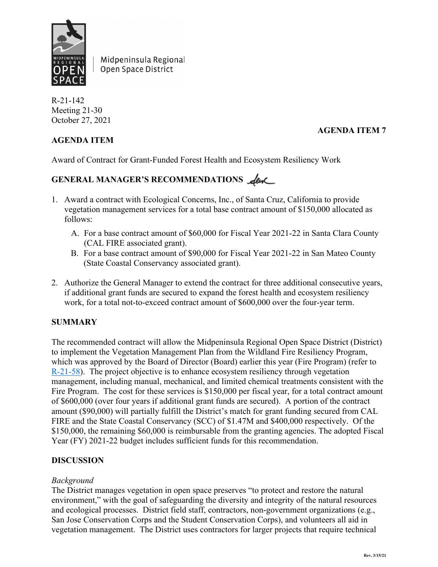

Midpeninsula Regional Open Space District

R-21-142 Meeting 21-30 October 27, 2021

# **AGENDA ITEM 7**

## **AGENDA ITEM**

Award of Contract for Grant-Funded Forest Health and Ecosystem Resiliency Work

# GENERAL MANAGER'S RECOMMENDATIONS **Leve**

- 1. Award a contract with Ecological Concerns, Inc., of Santa Cruz, California to provide vegetation management services for a total base contract amount of \$150,000 allocated as follows:
	- A. For a base contract amount of \$60,000 for Fiscal Year 2021-22 in Santa Clara County (CAL FIRE associated grant).
	- B. For a base contract amount of \$90,000 for Fiscal Year 2021-22 in San Mateo County (State Coastal Conservancy associated grant).
- 2. Authorize the General Manager to extend the contract for three additional consecutive years, if additional grant funds are secured to expand the forest health and ecosystem resiliency work, for a total not-to-exceed contract amount of \$600,000 over the four-year term.

#### **SUMMARY**

The recommended contract will allow the Midpeninsula Regional Open Space District (District) to implement the Vegetation Management Plan from the Wildland Fire Resiliency Program, which was approved by the Board of Director (Board) earlier this year (Fire Program) (refer to [R-21-58\)](https://www.openspace.org/sites/default/files/20210512_FEIRWildlandFireResiliencyProgram_R-21-58.pdf). The project objective is to enhance ecosystem resiliency through vegetation management, including manual, mechanical, and limited chemical treatments consistent with the Fire Program. The cost for these services is \$150,000 per fiscal year, for a total contract amount of \$600,000 (over four years if additional grant funds are secured). A portion of the contract amount (\$90,000) will partially fulfill the District's match for grant funding secured from CAL FIRE and the State Coastal Conservancy (SCC) of \$1.47M and \$400,000 respectively. Of the \$150,000, the remaining \$60,000 is reimbursable from the granting agencies. The adopted Fiscal Year (FY) 2021-22 budget includes sufficient funds for this recommendation.

# **DISCUSSION**

#### *Background*

The District manages vegetation in open space preserves "to protect and restore the natural environment," with the goal of safeguarding the diversity and integrity of the natural resources and ecological processes. District field staff, contractors, non-government organizations (e.g., San Jose Conservation Corps and the Student Conservation Corps), and volunteers all aid in vegetation management. The District uses contractors for larger projects that require technical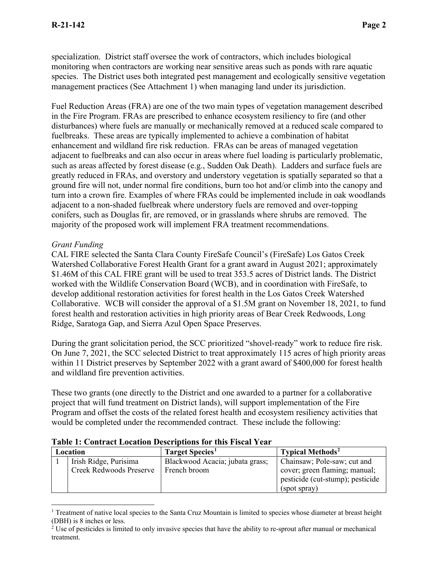specialization. District staff oversee the work of contractors, which includes biological monitoring when contractors are working near sensitive areas such as ponds with rare aquatic species. The District uses both integrated pest management and ecologically sensitive vegetation management practices (See Attachment 1) when managing land under its jurisdiction.

Fuel Reduction Areas (FRA) are one of the two main types of vegetation management described in the Fire Program. FRAs are prescribed to enhance ecosystem resiliency to fire (and other disturbances) where fuels are manually or mechanically removed at a reduced scale compared to fuelbreaks. These areas are typically implemented to achieve a combination of habitat enhancement and wildland fire risk reduction. FRAs can be areas of managed vegetation adjacent to fuelbreaks and can also occur in areas where fuel loading is particularly problematic, such as areas affected by forest disease (e.g., Sudden Oak Death). Ladders and surface fuels are greatly reduced in FRAs, and overstory and understory vegetation is spatially separated so that a ground fire will not, under normal fire conditions, burn too hot and/or climb into the canopy and turn into a crown fire. Examples of where FRAs could be implemented include in oak woodlands adjacent to a non-shaded fuelbreak where understory fuels are removed and over-topping conifers, such as Douglas fir, are removed, or in grasslands where shrubs are removed. The majority of the proposed work will implement FRA treatment recommendations.

#### *Grant Funding*

CAL FIRE selected the Santa Clara County FireSafe Council's (FireSafe) Los Gatos Creek Watershed Collaborative Forest Health Grant for a grant award in August 2021; approximately \$1.46M of this CAL FIRE grant will be used to treat 353.5 acres of District lands. The District worked with the Wildlife Conservation Board (WCB), and in coordination with FireSafe, to develop additional restoration activities for forest health in the Los Gatos Creek Watershed Collaborative. WCB will consider the approval of a \$1.5M grant on November 18, 2021, to fund forest health and restoration activities in high priority areas of Bear Creek Redwoods, Long Ridge, Saratoga Gap, and Sierra Azul Open Space Preserves.

During the grant solicitation period, the SCC prioritized "shovel-ready" work to reduce fire risk. On June 7, 2021, the SCC selected District to treat approximately 115 acres of high priority areas within 11 District preserves by September 2022 with a grant award of \$400,000 for forest health and wildland fire prevention activities.

These two grants (one directly to the District and one awarded to a partner for a collaborative project that will fund treatment on District lands), will support implementation of the Fire Program and offset the costs of the related forest health and ecosystem resiliency activities that would be completed under the recommended contract. These include the following:

| Location |                                                         | Target Species <sup>1</sup>                     | <b>Typical Methods<sup>2</sup></b>                                                                               |  |  |  |
|----------|---------------------------------------------------------|-------------------------------------------------|------------------------------------------------------------------------------------------------------------------|--|--|--|
|          | Irish Ridge, Purisima<br><b>Creek Redwoods Preserve</b> | Blackwood Acacia; jubata grass;<br>French broom | Chainsaw; Pole-saw; cut and<br>cover; green flaming; manual;<br>pesticide (cut-stump); pesticide<br>(spot spray) |  |  |  |

#### **Table 1: Contract Location Descriptions for this Fiscal Year**

<span id="page-1-0"></span><sup>&</sup>lt;sup>1</sup> Treatment of native local species to the Santa Cruz Mountain is limited to species whose diameter at breast height (DBH) is 8 inches or less.

<span id="page-1-1"></span> $2$  Use of pesticides is limited to only invasive species that have the ability to re-sprout after manual or mechanical treatment.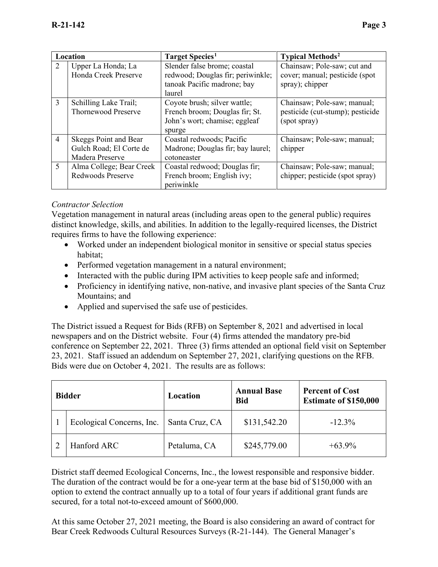| Location       |                                                                     | Target Species <sup>1</sup>                                                                                | <b>Typical Methods<sup>2</sup></b>                                               |  |  |
|----------------|---------------------------------------------------------------------|------------------------------------------------------------------------------------------------------------|----------------------------------------------------------------------------------|--|--|
| 2              | Upper La Honda; La<br>Honda Creek Preserve                          | Slender false brome; coastal<br>redwood; Douglas fir; periwinkle;<br>tanoak Pacific madrone; bay<br>laurel | Chainsaw; Pole-saw; cut and<br>cover; manual; pesticide (spot<br>spray); chipper |  |  |
| 3              | Schilling Lake Trail;<br><b>Thornewood Preserve</b>                 | Coyote brush; silver wattle;<br>French broom; Douglas fir; St.<br>John's wort; chamise; eggleaf<br>spurge  | Chainsaw; Pole-saw; manual;<br>pesticide (cut-stump); pesticide<br>(spot spray)  |  |  |
| $\overline{4}$ | Skeggs Point and Bear<br>Gulch Road; El Corte de<br>Madera Preserve | Coastal redwoods; Pacific<br>Madrone; Douglas fir; bay laurel;<br>cotoneaster                              | Chainsaw; Pole-saw; manual;<br>chipper                                           |  |  |
| 5              | Alma College; Bear Creek<br>Redwoods Preserve                       | Coastal redwood; Douglas fir;<br>French broom; English ivy;<br>periwinkle                                  | Chainsaw; Pole-saw; manual;<br>chipper; pesticide (spot spray)                   |  |  |

#### *Contractor Selection*

Vegetation management in natural areas (including areas open to the general public) requires distinct knowledge, skills, and abilities. In addition to the legally-required licenses, the District requires firms to have the following experience:

- Worked under an independent biological monitor in sensitive or special status species habitat;
- Performed vegetation management in a natural environment;
- Interacted with the public during IPM activities to keep people safe and informed;
- Proficiency in identifying native, non-native, and invasive plant species of the Santa Cruz Mountains; and
- Applied and supervised the safe use of pesticides.

The District issued a Request for Bids (RFB) on September 8, 2021 and advertised in local newspapers and on the District website. Four (4) firms attended the mandatory pre-bid conference on September 22, 2021. Three (3) firms attended an optional field visit on September 23, 2021. Staff issued an addendum on September 27, 2021, clarifying questions on the RFB. Bids were due on October 4, 2021. The results are as follows:

| <b>Bidder</b> |                           | <b>Annual Base</b><br>Location<br><b>Bid</b> |              | <b>Percent of Cost</b><br><b>Estimate of \$150,000</b> |  |
|---------------|---------------------------|----------------------------------------------|--------------|--------------------------------------------------------|--|
|               | Ecological Concerns, Inc. | Santa Cruz, CA                               | \$131,542.20 | $-12.3\%$                                              |  |
|               | Hanford ARC               | Petaluma, CA                                 | \$245,779.00 | $+63.9\%$                                              |  |

District staff deemed Ecological Concerns, Inc., the lowest responsible and responsive bidder. The duration of the contract would be for a one-year term at the base bid of \$150,000 with an option to extend the contract annually up to a total of four years if additional grant funds are secured, for a total not-to-exceed amount of \$600,000.

At this same October 27, 2021 meeting, the Board is also considering an award of contract for Bear Creek Redwoods Cultural Resources Surveys (R-21-144). The General Manager's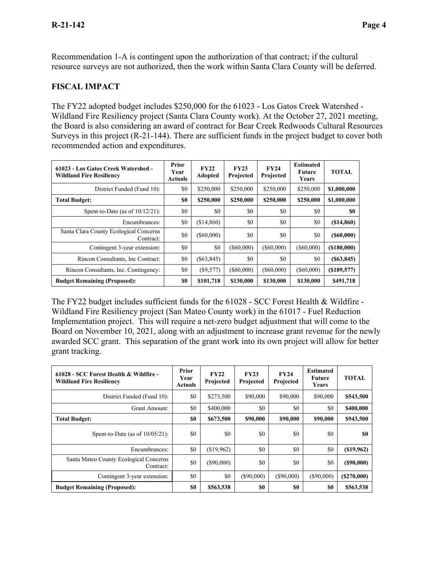Recommendation 1-A is contingent upon the authorization of that contract; if the cultural resource surveys are not authorized, then the work within Santa Clara County will be deferred.

#### **FISCAL IMPACT**

The FY22 adopted budget includes \$250,000 for the 61023 - Los Gatos Creek Watershed - Wildland Fire Resiliency project (Santa Clara County work). At the October 27, 2021 meeting, the Board is also considering an award of contract for Bear Creek Redwoods Cultural Resources Surveys in this project (R-21-144). There are sufficient funds in the project budget to cover both recommended action and expenditures.

| 61023 - Los Gatos Creek Watershed -<br><b>Wildland Fire Resiliency</b> | Prior<br>Year<br><b>Actuals</b> | <b>FY22</b><br>Adopted | <b>FY23</b><br>Projected | <b>FY24</b><br>Projected | <b>Estimated</b><br>Future<br>Years | <b>TOTAL</b>   |
|------------------------------------------------------------------------|---------------------------------|------------------------|--------------------------|--------------------------|-------------------------------------|----------------|
| District Funded (Fund 10):                                             | \$0                             | \$250,000              | \$250,000                | \$250,000                | \$250,000                           | \$1,000,000    |
| <b>Total Budget:</b>                                                   | \$0                             | \$250,000              | \$250,000                | \$250,000                | \$250,000                           | \$1,000,000    |
| Spent-to-Date (as of $10/12/21$ ):                                     | \$0                             | \$0                    | \$0                      | \$0                      | \$0                                 | \$0            |
| Encumbrances:                                                          | \$0                             | (\$14,860)             | \$0                      | \$0                      | \$0                                 | $(\$14,860)$   |
| Santa Clara County Ecological Concerns<br>Contract:                    | \$0                             | $($ \$60,000)          | \$0                      | \$0                      | \$0                                 | $($ \$60,000)  |
| Contingent 3-year extension:                                           | \$0                             | \$0                    | $($ \$60,000)            | $($ \$60,000)            | $($ \$60,000)                       | $($ \$180,000) |
| Rincon Consultants, Inc Contract:                                      | \$0                             | $(\$63,845)$           | \$0                      | \$0                      | \$0                                 | (S63, 845)     |
| Rincon Consultants, Inc. Contingency:                                  | \$0                             | (S9,577)               | $($ \$60,000)            | $($ \$60,000)            | $($ \$60,000)                       | (S189, 577)    |
| <b>Budget Remaining (Proposed):</b>                                    | \$0                             | \$101,718              | \$130,000                | \$130,000                | \$130,000                           | \$491,718      |

The FY22 budget includes sufficient funds for the 61028 - SCC Forest Health & Wildfire - Wildland Fire Resiliency project (San Mateo County work) in the 61017 - Fuel Reduction Implementation project. This will require a net-zero budget adjustment that will come to the Board on November 10, 2021, along with an adjustment to increase grant revenue for the newly awarded SCC grant. This separation of the grant work into its own project will allow for better grant tracking.

| 61028 - SCC Forest Health & Wildfire -<br><b>Wildland Fire Resiliency</b> | Prior<br>Year<br>Actuals | <b>FY22</b><br>Projected | <b>FY23</b><br>Projected | <b>FY24</b><br>Projected | <b>Estimated</b><br>Future<br>Years | <b>TOTAL</b> |
|---------------------------------------------------------------------------|--------------------------|--------------------------|--------------------------|--------------------------|-------------------------------------|--------------|
| District Funded (Fund 10):                                                | \$0                      | \$273,500                | \$90,000                 | \$90,000                 | \$90,000                            | \$543,500    |
| Grant Amount:                                                             | \$0                      | \$400,000                | \$0                      | \$0                      | \$0                                 | \$400,000    |
| <b>Total Budget:</b>                                                      | \$0                      | \$673,500                | \$90,000                 | \$90,000                 | \$90,000                            | \$943,500    |
| Spent-to-Date (as of $10/05/21$ ):                                        | \$0                      | \$0                      | \$0                      | \$0                      | \$0                                 | <b>SO</b>    |
| Encumbrances:                                                             | \$0                      | (\$19,962)               | \$0                      | \$0                      | \$0                                 | $(\$19,962)$ |
| Santa Mateo County Ecological Concerns<br>Contract:                       | \$0                      | $($ \$90,000)            | \$0                      | \$0                      | \$0                                 | (S90,000)    |
| Contingent 3-year extension:                                              | \$0                      | \$0                      | $($ \$90,000)            | (S90,000)                | $(\$90,000)$                        | (S270,000)   |
| <b>Budget Remaining (Proposed):</b>                                       | \$0                      | \$563,538                | \$0                      | \$0                      | \$0                                 | \$563,538    |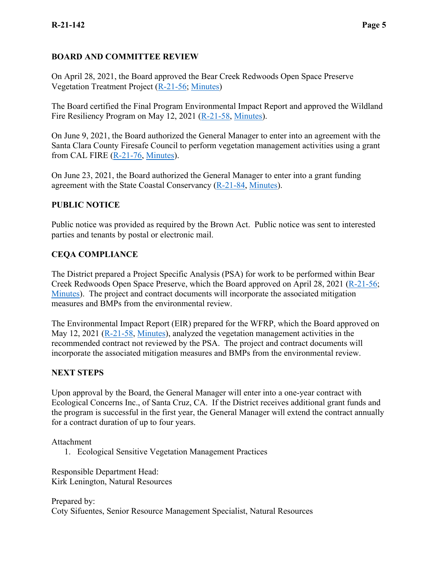## **BOARD AND COMMITTEE REVIEW**

On April 28, 2021, the Board approved the Bear Creek Redwoods Open Space Preserve Vegetation Treatment Project [\(R-21-56;](https://www.openspace.org/sites/default/files/20210428_ProjectSpecificAnalysisforBCR_R-21-56_0.pdf) [Minutes\)](https://www.openspace.org/sites/default/files/20210428_BOD_minutes_APPROVED.pdf)

The Board certified the Final Program Environmental Impact Report and approved the Wildland Fire Resiliency Program on May 12, 2021 [\(R-21-58,](https://www.openspace.org/sites/default/files/20210512_FEIRWildlandFireResiliencyProgram_R-21-58.pdf) [Minutes\)](https://www.openspace.org/sites/default/files/20210512_BOD_minutes_DRAFT.pdf).

On June 9, 2021, the Board authorized the General Manager to enter into an agreement with the Santa Clara County Firesafe Council to perform vegetation management activities using a grant from CAL FIRE [\(R-21-76,](https://www.openspace.org/sites/default/files/20210609_LosGatosCreekWatershedHealth_R-21-76_0.pdf) [Minutes\)](https://www.openspace.org/sites/default/files/20210609_BOD_minutes_DRAFT.pdf).

On June 23, 2021, the Board authorized the General Manager to enter into a grant funding agreement with the State Coastal Conservancy [\(R-21-84,](https://www.openspace.org/sites/default/files/20210623_CoastalConservancyGrant_R-21-84.pdf) [Minutes\)](https://www.openspace.org/sites/default/files/20210623_BOD_minutes_APPROVED.pdf).

#### **PUBLIC NOTICE**

Public notice was provided as required by the Brown Act. Public notice was sent to interested parties and tenants by postal or electronic mail.

# **CEQA COMPLIANCE**

The District prepared a Project Specific Analysis (PSA) for work to be performed within Bear Creek Redwoods Open Space Preserve, which the Board approved on April 28, 2021 [\(R-21-56;](https://www.openspace.org/sites/default/files/20210428_ProjectSpecificAnalysisforBCR_R-21-56_0.pdf) [Minutes\)](https://www.openspace.org/sites/default/files/20210428_BOD_minutes_APPROVED.pdf). The project and contract documents will incorporate the associated mitigation measures and BMPs from the environmental review.

The Environmental Impact Report (EIR) prepared for the WFRP, which the Board approved on May 12, 2021 [\(R-21-58,](https://www.openspace.org/sites/default/files/20210512_FEIRWildlandFireResiliencyProgram_R-21-58.pdf) [Minutes\)](https://www.openspace.org/sites/default/files/20210512_BOD_minutes_DRAFT.pdf), analyzed the vegetation management activities in the recommended contract not reviewed by the PSA. The project and contract documents will incorporate the associated mitigation measures and BMPs from the environmental review.

#### **NEXT STEPS**

Upon approval by the Board, the General Manager will enter into a one-year contract with Ecological Concerns Inc., of Santa Cruz, CA. If the District receives additional grant funds and the program is successful in the first year, the General Manager will extend the contract annually for a contract duration of up to four years.

Attachment

1. Ecological Sensitive Vegetation Management Practices

Responsible Department Head: Kirk Lenington, Natural Resources

Prepared by: Coty Sifuentes, Senior Resource Management Specialist, Natural Resources